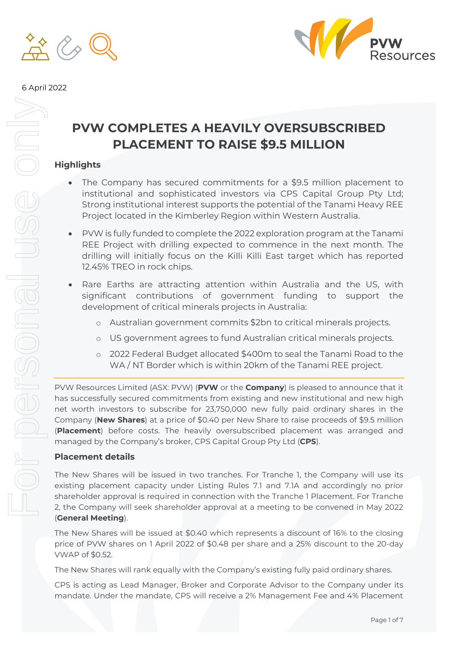



#### 6 April 2022

## **PVW COMPLETES A HEAVILY OVERSUBSCRIBED PLACEMENT TO RAISE \$9.5 MILLION**

## **Highlights**

- The Company has secured commitments for a \$9.5 million placement to institutional and sophisticated investors via CPS Capital Group Pty Ltd; Strong institutional interest supports the potential of the Tanami Heavy REE Project located in the Kimberley Region within Western Australia.
- PVW is fully funded to complete the 2022 exploration program at the Tanami REE Project with drilling expected to commence in the next month. The drilling will initially focus on the Killi Killi East target which has reported 12.45% TREO in rock chips.
- Rare Earths are attracting attention within Australia and the US, with significant contributions of government funding to support the development of critical minerals projects in Australia:
	- o Australian government commits \$2bn to critical minerals projects.
	- o US government agrees to fund Australian critical minerals projects.
	- o 2022 Federal Budget allocated \$400m to seal the Tanami Road to the WA / NT Border which is within 20km of the Tanami REE project.

PVW Resources Limited (ASX: PVW) (**PVW** or the **Company**) is pleased to announce that it has successfully secured commitments from existing and new institutional and new high net worth investors to subscribe for 23,750,000 new fully paid ordinary shares in the Company (**New Shares**) at a price of \$0.40 per New Share to raise proceeds of \$9.5 million (**Placement**) before costs. The heavily oversubscribed placement was arranged and managed by the Company's broker, CPS Capital Group Pty Ltd (**CPS**).

#### **Placement details**

The New Shares will be issued in two tranches. For Tranche 1, the Company will use its existing placement capacity under Listing Rules 7.1 and 7.1A and accordingly no prior shareholder approval is required in connection with the Tranche 1 Placement. For Tranche 2, the Company will seek shareholder approval at a meeting to be convened in May 2022 (**General Meeting**).

The New Shares will be issued at \$0.40 which represents a discount of 16% to the closing price of PVW shares on 1 April 2022 of \$0.48 per share and a 25% discount to the 20-day VWAP of \$0.52.

The New Shares will rank equally with the Company's existing fully paid ordinary shares.

CPS is acting as Lead Manager, Broker and Corporate Advisor to the Company under its mandate. Under the mandate, CPS will receive a 2% Management Fee and 4% Placement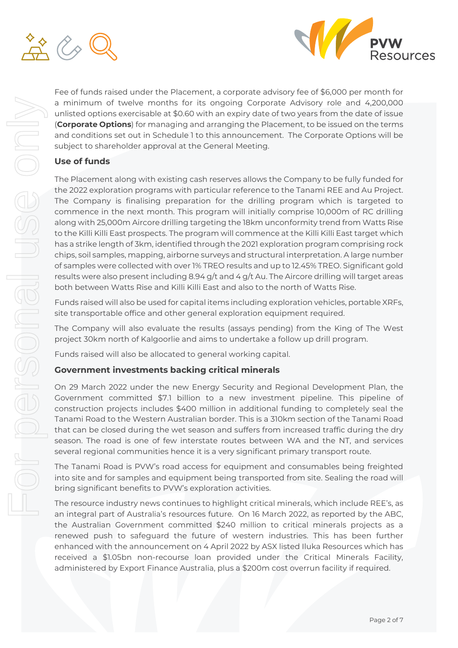



Fee of funds raised under the Placement, a corporate advisory fee of \$6,000 per month for a minimum of twelve months for its ongoing Corporate Advisory role and 4,200,000 unlisted options exercisable at \$0.60 with an expiry date of two years from the date of issue (**Corporate Options**) for managing and arranging the Placement, to be issued on the terms and conditions set out in Schedule 1 to this announcement. The Corporate Options will be subject to shareholder approval at the General Meeting.

## **Use of funds**

The Placement along with existing cash reserves allows the Company to be fully funded for the 2022 exploration programs with particular reference to the Tanami REE and Au Project. The Company is finalising preparation for the drilling program which is targeted to commence in the next month. This program will initially comprise 10,000m of RC drilling along with 25,000m Aircore drilling targeting the 18km unconformity trend from Watts Rise to the Killi Killi East prospects. The program will commence at the Killi Killi East target which has a strike length of 3km, identified through the 2021 exploration program comprising rock chips, soil samples, mapping, airborne surveys and structural interpretation. A large number of samples were collected with over 1% TREO results and up to 12.45% TREO. Significant gold results were also present including 8.94 g/t and 4 g/t Au. The Aircore drilling will target areas both between Watts Rise and Killi Killi East and also to the north of Watts Rise.

Funds raised will also be used for capital items including exploration vehicles, portable XRFs, site transportable office and other general exploration equipment required.

The Company will also evaluate the results (assays pending) from the King of The West project 30km north of Kalgoorlie and aims to undertake a follow up drill program.

Funds raised will also be allocated to general working capital.

## **Government investments backing critical minerals**

On 29 March 2022 under the new Energy Security and Regional Development Plan, the Government committed \$7.1 billion to a new investment pipeline. This pipeline of construction projects includes \$400 million in additional funding to completely seal the Tanami Road to the Western Australian border. This is a 310km section of the Tanami Road that can be closed during the wet season and suffers from increased traffic during the dry season. The road is one of few interstate routes between WA and the NT, and services several regional communities hence it is a very significant primary transport route.

The Tanami Road is PVW's road access for equipment and consumables being freighted into site and for samples and equipment being transported from site. Sealing the road will bring significant benefits to PVW's exploration activities.

The resource industry news continues to highlight critical minerals, which include REE's, as an integral part of Australia's resources future. On 16 March 2022, as reported by the ABC, the Australian Government committed \$240 million to critical minerals projects as a renewed push to safeguard the future of western industries. This has been further enhanced with the announcement on 4 April 2022 by ASX listed Iluka Resources which has received a \$1.05bn non-recourse loan provided under the Critical Minerals Facility, administered by Export Finance Australia, plus a \$200m cost overrun facility if required.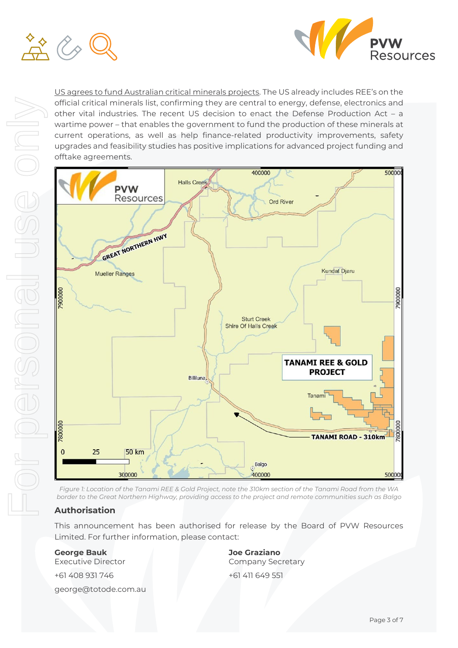



US agrees to fund Australian critical minerals projects. The US already includes REE's on the official critical minerals list, confirming they are central to energy, defense, electronics and other vital industries. The recent US decision to enact the Defense Production Act – a wartime power – that enables the government to fund the production of these minerals at current operations, as well as help finance-related productivity improvements, safety upgrades and feasibility studies has positive implications for advanced project funding and offtake agreements.



*Figure 1: Location of the Tanami REE & Gold Project, note the 310km section of the Tanami Road from the WA border to the Great Northern Highway, providing access to the project and remote communities such as Balgo*

## **Authorisation**

This announcement has been authorised for release by the Board of PVW Resources Limited. For further information, please contact:

**George Bauk**  Executive Director

+61 408 931 746

george@totode.com.au

**Joe Graziano**  Company Secretary +61 411 649 551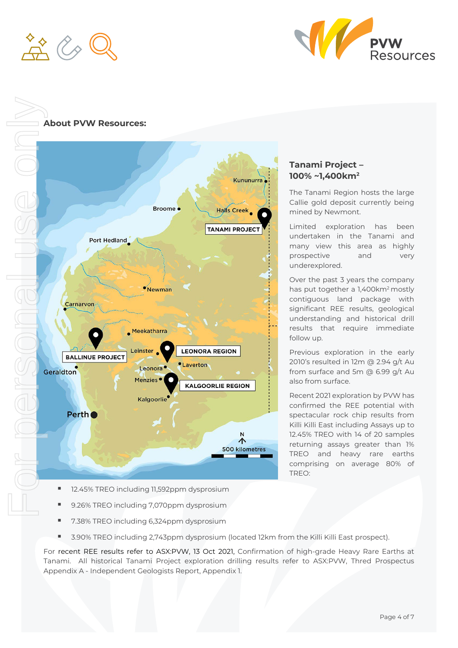



### **About PVW Resources:**



## **Tanami Project – 100% ~1,400km2**

The Tanami Region hosts the large Callie gold deposit currently being mined by Newmont.

Limited exploration has been undertaken in the Tanami and many view this area as highly prospective and very underexplored.

Over the past 3 years the company has put together a 1,400km<sup>2</sup> mostly contiguous land package with significant REE results, geological understanding and historical drill results that require immediate follow up.

Previous exploration in the early 2010's resulted in 12m @ 2.94 g/t Au from surface and 5m @ 6.99 g/t Au also from surface.

Recent 2021 exploration by PVW has confirmed the REE potential with spectacular rock chip results from Killi Killi East including Assays up to 12.45% TREO with 14 of 20 samples returning assays greater than 1% TREO and heavy rare earths comprising on average 80% of TREO:

- 12.45% TREO including 11,592ppm dysprosium
- 9.26% TREO including 7,070ppm dysprosium
- 7.38% TREO including 6,324ppm dysprosium
- 3.90% TREO including 2,743ppm dysprosium (located 12km from the Killi Killi East prospect).

For recent REE results refer to ASX:PVW, 13 Oct 2021, Confirmation of high-grade Heavy Rare Earths at Tanami. All historical Tanami Project exploration drilling results refer to ASX:PVW, Thred Prospectus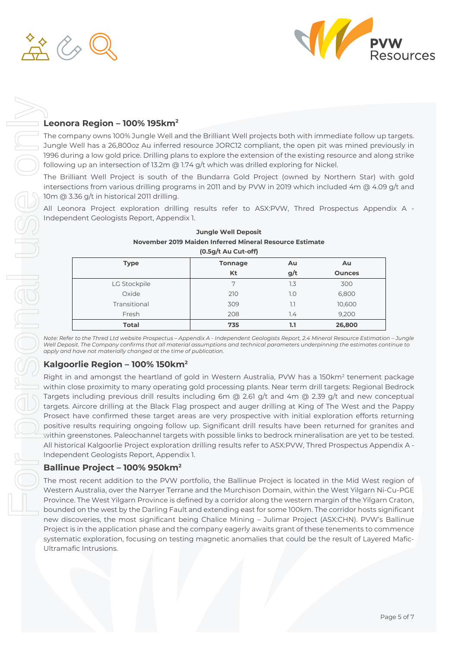



## **Leonora Region – 100% 195km2**

The company owns 100% Jungle Well and the Brilliant Well projects both with immediate follow up targets. Jungle Well has a 26,800oz Au inferred resource JORC12 compliant, the open pit was mined previously in 1996 during a low gold price. Drilling plans to explore the extension of the existing resource and along strike following up an intersection of 13.2m @ 1.74 g/t which was drilled exploring for Nickel.

The Brilliant Well Project is south of the Bundarra Gold Project (owned by Northern Star) with gold intersections from various drilling programs in 2011 and by PVW in 2019 which included 4m @ 4.09 g/t and 10m @ 3.36 g/t in historical 2011 drilling.

All Leonora Project exploration drilling results refer to ASX:PVW, Thred Prospectus Appendix A - Independent Geologists Report, Appendix 1.

| $(0.5g/t$ Au Cut-off) |                |     |               |  |
|-----------------------|----------------|-----|---------------|--|
| <b>Type</b>           | <b>Tonnage</b> | Au  | Au            |  |
|                       | Kt             | g/t | <b>Ounces</b> |  |
| LG Stockpile          | 7              | 1.3 | 300           |  |
| Oxide                 | 210            | 1.0 | 6,800         |  |
| Transitional          | 309            | 1.1 | 10,600        |  |
| Fresh                 | 208            | 7.4 | 9,200         |  |
| <b>Total</b>          | 735            | 1.1 | 26,800        |  |

## **Jungle Well Deposit November 2019 Maiden Inferred Mineral Resource Estimate**

*Note: Refer to the Thred Ltd website Prospectus – Appendix A - Independent Geologists Report, 2.4 Mineral Resource Estimation – Jungle Well Deposit. The Company confirms that all material assumptions and technical parameters underpinning the estimates continue to apply and have not materially changed at the time of publication.*

#### **Kalgoorlie Region – 100% 150km2**

Right in and amongst the heartland of gold in Western Australia, PVW has a 150km<sup>2</sup> tenement package within close proximity to many operating gold processing plants. Near term drill targets: Regional Bedrock Targets including previous drill results including 6m @ 2.61 g/t and 4m @ 2.39 g/t and new conceptual targets. Aircore drilling at the Black Flag prospect and auger drilling at King of The West and the Pappy Prosect have confirmed these target areas are very prospective with initial exploration efforts returning positive results requiring ongoing follow up. Significant drill results have been returned for granites and within greenstones. Paleochannel targets with possible links to bedrock mineralisation are yet to be tested. All historical Kalgoorlie Project exploration drilling results refer to ASX:PVW, Thred Prospectus Appendix A - Independent Geologists Report, Appendix 1.

## **Ballinue Project – 100% 950km2**

The most recent addition to the PVW portfolio, the Ballinue Project is located in the Mid West region of Western Australia, over the Narryer Terrane and the Murchison Domain, within the West Yilgarn Ni-Cu-PGE Province. The West Yilgarn Province is defined by a corridor along the western margin of the Yilgarn Craton, bounded on the west by the Darling Fault and extending east for some 100km. The corridor hosts significant new discoveries, the most significant being Chalice Mining – Julimar Project (ASX:CHN). PVW's Ballinue Project is in the application phase and the company eagerly awaits grant of these tenements to commence systematic exploration, focusing on testing magnetic anomalies that could be the result of Layered Mafic-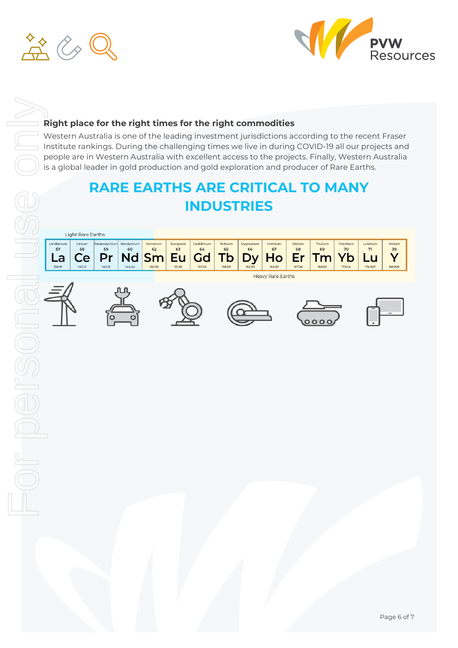



## **Right place for the right times for the right commodities**

Western Australia is one of the leading investment jurisdictions according to the recent Fraser Institute rankings. During the challenging times we live in during COVID-19 all our projects and people are in Western Australia with excellent access to the projects. Finally, Western Australia is a global leader in gold production and gold exploration and producer of Rare Earths.

# **RARE EARTHS ARE CRITICAL TO MANY INDUSTRIES**